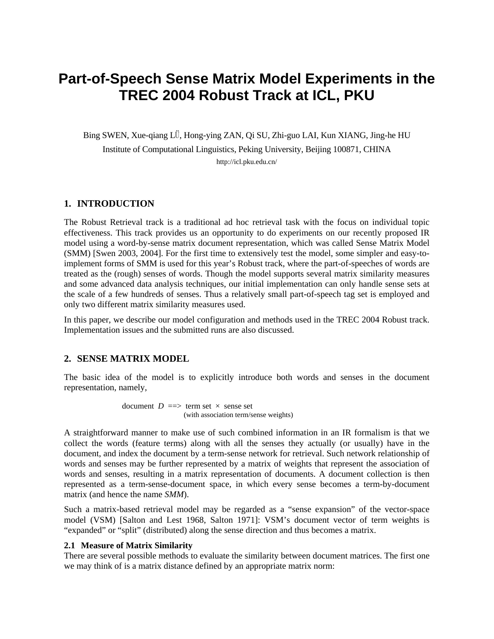# **Part-of-Speech Sense Matrix Model Experiments in the TREC 2004 Robust Track at ICL, PKU**

Bing SWEN, Xue-qiang LÜ, Hong-ying ZAN, Qi SU, Zhi-guo LAI, Kun XIANG, Jing-he HU

Institute of Computational Linguistics, Peking University, Beijing 100871, CHINA http://icl.pku.edu.cn/

# **1. INTRODUCTION**

The Robust Retrieval track is a traditional ad hoc retrieval task with the focus on individual topic effectiveness. This track provides us an opportunity to do experiments on our recently proposed IR model using a word-by-sense matrix document representation, which was called Sense Matrix Model (SMM) [Swen 2003, 2004]. For the first time to extensively test the model, some simpler and easy-toimplement forms of SMM is used for this year's Robust track, where the part-of-speeches of words are treated as the (rough) senses of words. Though the model supports several matrix similarity measures and some advanced data analysis techniques, our initial implementation can only handle sense sets at the scale of a few hundreds of senses. Thus a relatively small part-of-speech tag set is employed and only two different matrix similarity measures used.

In this paper, we describe our model configuration and methods used in the TREC 2004 Robust track. Implementation issues and the submitted runs are also discussed.

#### **2. SENSE MATRIX MODEL**

The basic idea of the model is to explicitly introduce both words and senses in the document representation, namely,

> document  $D \implies$  term set  $\times$  sense set (with association term/sense weights)

A straightforward manner to make use of such combined information in an IR formalism is that we collect the words (feature terms) along with all the senses they actually (or usually) have in the document, and index the document by a term-sense network for retrieval. Such network relationship of words and senses may be further represented by a matrix of weights that represent the association of words and senses, resulting in a matrix representation of documents. A document collection is then represented as a term-sense-document space, in which every sense becomes a term-by-document matrix (and hence the name *SMM*).

Such a matrix-based retrieval model may be regarded as a "sense expansion" of the vector-space model (VSM) [Salton and Lest 1968, Salton 1971]: VSM's document vector of term weights is "expanded" or "split" (distributed) along the sense direction and thus becomes a matrix.

#### **2.1 Measure of Matrix Similarity**

There are several possible methods to evaluate the similarity between document matrices. The first one we may think of is a matrix distance defined by an appropriate matrix norm: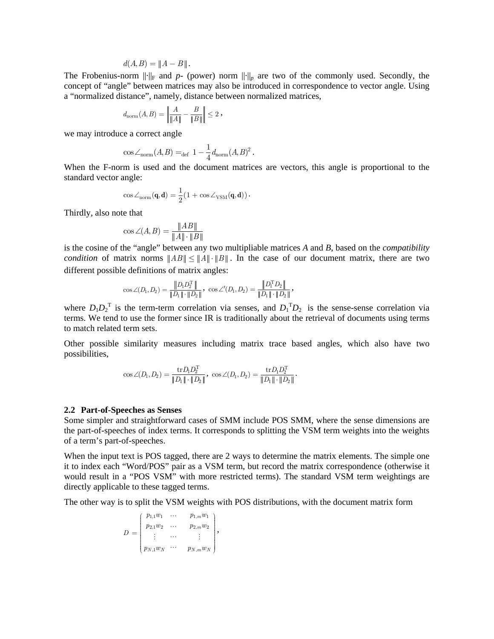$$
d(A, B) = ||A - B||.
$$

The Frobenius-norm  $\|\cdot\|_F$  and  $p$ - (power) norm  $\|\cdot\|_p$  are two of the commonly used. Secondly, the concept of "angle" between matrices may also be introduced in correspondence to vector angle. Using a "normalized distance", namely, distance between normalized matrices,

$$
d_{\rm norm}(A,B)=\left\|\frac{A}{\|A\|}-\frac{B}{\|B\|}\right\|\leq 2\;{\rm ,}
$$

we may introduce a correct angle

$$
\cos \angle_{\text{norm}}(A, B) =_{\text{def}} 1 - \frac{1}{4} d_{\text{norm}}(A, B)^2.
$$

When the F-norm is used and the document matrices are vectors, this angle is proportional to the standard vector angle:

$$
\cos \angle_{\text{norm}}(\mathbf{q}, \mathbf{d}) = \frac{1}{2} (1 + \cos \angle_{\text{VSM}}(\mathbf{q}, \mathbf{d})) \, .
$$

Thirdly, also note that

$$
\cos \angle (A, B) = \frac{\|AB\|}{\|A\| \cdot \|B\|}
$$

is the cosine of the "angle" between any two multipliable matrices *A* and *B*, based on the *compatibility condition* of matrix norms  $||AB|| \le ||A|| \cdot ||B||$ . In the case of our document matrix, there are two different possible definitions of matrix angles:

$$
\cos\angle(D_1,D_2)=\frac{\left\|D_1D_2^{\mathrm{T}}\right\|}{\|D_1\|\cdot\|D_2\|}\,,\,\,\cos\angle' (D_1,D_2)=\frac{\left\|D_1^{\mathrm{T}} D_2\right\|}{\|D_1\|\cdot\|D_2\|}\,,
$$

where  $D_1D_2^T$  is the term-term correlation via senses, and  $D_1^T D_2$  is the sense-sense correlation via terms. We tend to use the former since IR is traditionally about the retrieval of documents using terms to match related term sets.

Other possible similarity measures including matrix trace based angles, which also have two possibilities,

$$
\cos\angle(D_1, D_2) = \frac{\mathrm{tr} D_1 D_2^{\mathrm{T}}}{\|D_1\| \cdot \|D_2\|}, \ \cos\angle(D_1, D_2) = \frac{\mathrm{tr} D_1 D_2^{\mathrm{T}}}{\|D_1\| \cdot \|D_2\|}.
$$

#### **2.2 Part-of-Speeches as Senses**

Some simpler and straightforward cases of SMM include POS SMM, where the sense dimensions are the part-of-speeches of index terms. It corresponds to splitting the VSM term weights into the weights of a term's part-of-speeches.

When the input text is POS tagged, there are 2 ways to determine the matrix elements. The simple one it to index each "Word/POS" pair as a VSM term, but record the matrix correspondence (otherwise it would result in a "POS VSM" with more restricted terms). The standard VSM term weightings are directly applicable to these tagged terms.

The other way is to split the VSM weights with POS distributions, with the document matrix form

$$
D = \begin{pmatrix} p_{1,1}w_1 & \cdots & p_{1,m}w_1 \\ p_{2,1}w_2 & \cdots & p_{2,m}w_2 \\ \vdots & \cdots & \vdots \\ p_{N,1}w_N & \cdots & p_{N,m}w_N \end{pmatrix},
$$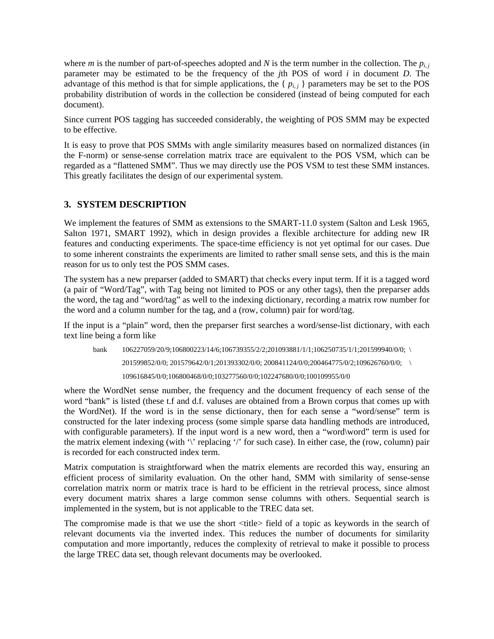where *m* is the number of part-of-speeches adopted and *N* is the term number in the collection. The  $p_{i,j}$ parameter may be estimated to be the frequency of the *j*th POS of word *i* in document *D*. The advantage of this method is that for simple applications, the  $\{p_{i,j}\}\$ parameters may be set to the POS probability distribution of words in the collection be considered (instead of being computed for each document).

Since current POS tagging has succeeded considerably, the weighting of POS SMM may be expected to be effective.

It is easy to prove that POS SMMs with angle similarity measures based on normalized distances (in the F-norm) or sense-sense correlation matrix trace are equivalent to the POS VSM, which can be regarded as a "flattened SMM". Thus we may directly use the POS VSM to test these SMM instances. This greatly facilitates the design of our experimental system.

# **3. SYSTEM DESCRIPTION**

We implement the features of SMM as extensions to the SMART-11.0 system (Salton and Lesk 1965, Salton 1971, SMART 1992), which in design provides a flexible architecture for adding new IR features and conducting experiments. The space-time efficiency is not yet optimal for our cases. Due to some inherent constraints the experiments are limited to rather small sense sets, and this is the main reason for us to only test the POS SMM cases.

The system has a new preparser (added to SMART) that checks every input term. If it is a tagged word (a pair of "Word/Tag", with Tag being not limited to POS or any other tags), then the preparser adds the word, the tag and "word/tag" as well to the indexing dictionary, recording a matrix row number for the word and a column number for the tag, and a (row, column) pair for word/tag.

If the input is a "plain" word, then the preparser first searches a word/sense-list dictionary, with each text line being a form like

bank 106227059/20/9;106800223/14/6;106739355/2/2;201093881/1/1;106250735/1/1;201599940/0/0; \ 201599852/0/0; 201579642/0/1;201393302/0/0; 200841124/0/0;200464775/0/2;109626760/0/0; \ 109616845/0/0;106800468/0/0;103277560/0/0;102247680/0/0;100109955/0/0

where the WordNet sense number, the frequency and the document frequency of each sense of the word "bank" is listed (these t.f and d.f. valuses are obtained from a Brown corpus that comes up with the WordNet). If the word is in the sense dictionary, then for each sense a "word/sense" term is constructed for the later indexing process (some simple sparse data handling methods are introduced, with configurable parameters). If the input word is a new word, then a "word\word" term is used for the matrix element indexing (with '\' replacing '/' for such case). In either case, the (row, column) pair is recorded for each constructed index term.

Matrix computation is straightforward when the matrix elements are recorded this way, ensuring an efficient process of similarity evaluation. On the other hand, SMM with similarity of sense-sense correlation matrix norm or matrix trace is hard to be efficient in the retrieval process, since almost every document matrix shares a large common sense columns with others. Sequential search is implemented in the system, but is not applicable to the TREC data set.

The compromise made is that we use the short <title> field of a topic as keywords in the search of relevant documents via the inverted index. This reduces the number of documents for similarity computation and more importantly, reduces the complexity of retrieval to make it possible to process the large TREC data set, though relevant documents may be overlooked.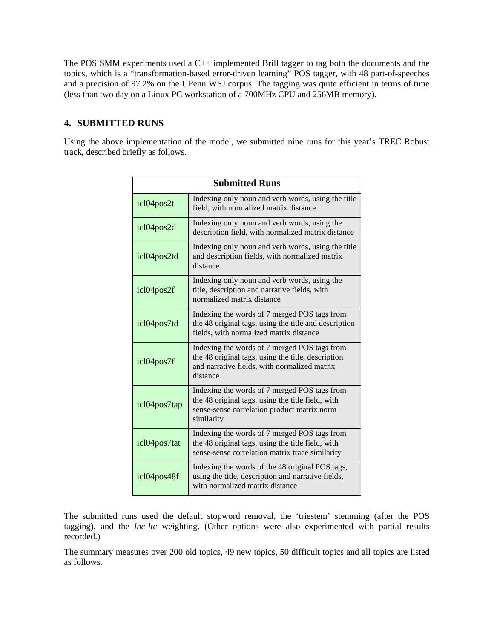The POS SMM experiments used a C++ implemented Brill tagger to tag both the documents and the topics, which is a "transformation-based error-driven learning" POS tagger, with 48 part-of-speeches and a precision of 97.2% on the UPenn WSJ corpus. The tagging was quite efficient in terms of time (less than two day on a Linux PC workstation of a 700MHz CPU and 256MB memory).

# **4. SUBMITTED RUNS**

Using the above implementation of the model, we submitted nine runs for this year's TREC Robust track, described briefly as follows.

| <b>Submitted Runs</b> |                                                                                                                                                                |  |
|-----------------------|----------------------------------------------------------------------------------------------------------------------------------------------------------------|--|
| icl04pos2t            | Indexing only noun and verb words, using the title<br>field, with normalized matrix distance                                                                   |  |
| icl04pos2d            | Indexing only noun and verb words, using the<br>description field, with normalized matrix distance                                                             |  |
| icl04pos2td           | Indexing only noun and verb words, using the title<br>and description fields, with normalized matrix<br>distance                                               |  |
| icl04pos2f            | Indexing only noun and verb words, using the<br>title, description and narrative fields, with<br>normalized matrix distance                                    |  |
| icl04pos7td           | Indexing the words of 7 merged POS tags from<br>the 48 original tags, using the title and description<br>fields, with normalized matrix distance               |  |
| icl04pos7f            | Indexing the words of 7 merged POS tags from<br>the 48 original tags, using the title, description<br>and narrative fields, with normalized matrix<br>distance |  |
| icl04pos7tap          | Indexing the words of 7 merged POS tags from<br>the 48 original tags, using the title field, with<br>sense-sense correlation product matrix norm<br>similarity |  |
| icl04pos7tat          | Indexing the words of 7 merged POS tags from<br>the 48 original tags, using the title field, with<br>sense-sense correlation matrix trace similarity           |  |
| icl04pos48f           | Indexing the words of the 48 original POS tags,<br>using the title, description and narrative fields,<br>with normalized matrix distance                       |  |

The submitted runs used the default stopword removal, the 'triestem' stemming (after the POS tagging), and the *lnc-ltc* weighting. (Other options were also experimented with partial results recorded.)

The summary measures over 200 old topics, 49 new topics, 50 difficult topics and all topics are listed as follows.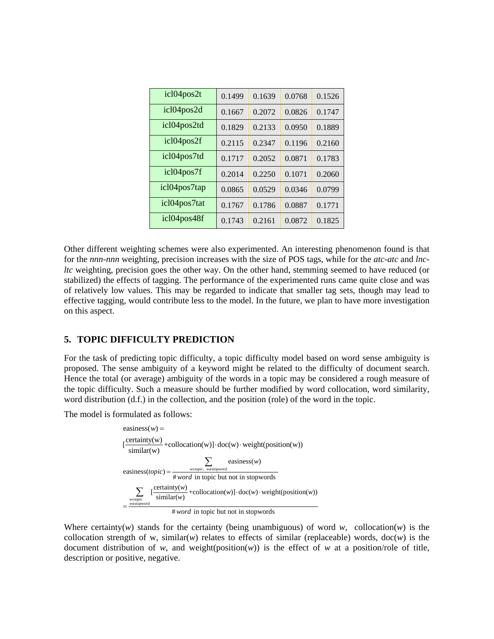| icl04pos2t   | 0.1499 | 0.1639 | 0.0768 | 0.1526 |
|--------------|--------|--------|--------|--------|
| icl04pos2d   | 0.1667 | 0.2072 | 0.0826 | 0.1747 |
| icl04pos2td  | 0.1829 | 0.2133 | 0.0950 | 0.1889 |
| icl04pos2f   | 0.2115 | 0.2347 | 0.1196 | 0.2160 |
| icl04pos7td  | 0.1717 | 0.2052 | 0.0871 | 0.1783 |
| icl04pos7f   | 0.2014 | 0.2250 | 0.1071 | 0.2060 |
| icl04pos7tap | 0.0865 | 0.0529 | 0.0346 | 0.0799 |
| icl04pos7tat | 0.1767 | 0.1786 | 0.0887 | 0.1771 |
| icl04pos48f  | 0.1743 | 0.2161 | 0.0872 | 0.1825 |

Other different weighting schemes were also experimented. An interesting phenomenon found is that for the *nnn-nnn* weighting, precision increases with the size of POS tags, while for the *atc-atc* and *lncltc* weighting, precision goes the other way. On the other hand, stemming seemed to have reduced (or stabilized) the effects of tagging. The performance of the experimented runs came quite close and was of relatively low values. This may be regarded to indicate that smaller tag sets, though may lead to effective tagging, would contribute less to the model. In the future, we plan to have more investigation on this aspect.

### **5. TOPIC DIFFICULTY PREDICTION**

For the task of predicting topic difficulty, a topic difficulty model based on word sense ambiguity is proposed. The sense ambiguity of a keyword might be related to the difficulty of document search. Hence the total (or average) ambiguity of the words in a topic may be considered a rough measure of the topic difficulty. Such a measure should be further modified by word collocation, word similarity, word distribution (d.f.) in the collection, and the position (role) of the word in the topic.

The model is formulated as follows:

$$
easiness(w) = \frac{\text{certainty}(w)}{\text{similar}(w)} + \text{collocation}(w) \cdot \text{doc}(w) \cdot \text{weight}(\text{position}(w))
$$
\n
$$
easiness(topic) = \frac{\sum_{w \in topic, \ w \in slope \text{ord}} \text{easiness}(w)}{\# word \text{ in topic but not in stopwords}}
$$
\n
$$
\sum_{w \in topic \atop \text{similar}(w)} [\frac{\text{certainty}(w)}{\text{similar}(w)} + \text{collocation}(w)] \cdot \text{doc}(w) \cdot \text{weight}(\text{position}(w))
$$

# word in topic but not in stopwords

Where certainty(*w*) stands for the certainty (being unambiguous) of word *w*, collocation(*w*) is the collocation strength of w, similar( $w$ ) relates to effects of similar (replaceable) words, doc( $w$ ) is the document distribution of *w*, and weight(position(*w*)) is the effect of *w* at a position/role of title, description or positive, negative.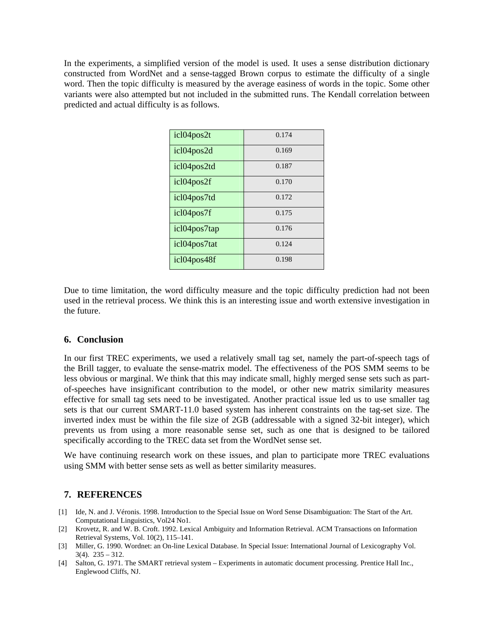In the experiments, a simplified version of the model is used. It uses a sense distribution dictionary constructed from WordNet and a sense-tagged Brown corpus to estimate the difficulty of a single word. Then the topic difficulty is measured by the average easiness of words in the topic. Some other variants were also attempted but not included in the submitted runs. The Kendall correlation between predicted and actual difficulty is as follows.

| icl04pos2t   | 0.174 |
|--------------|-------|
| icl04pos2d   | 0.169 |
| icl04pos2td  | 0.187 |
| icl04pos2f   | 0.170 |
| icl04pos7td  | 0.172 |
| icl04pos7f   | 0.175 |
| icl04pos7tap | 0.176 |
| icl04pos7tat | 0.124 |
| icl04pos48f  | 0.198 |

Due to time limitation, the word difficulty measure and the topic difficulty prediction had not been used in the retrieval process. We think this is an interesting issue and worth extensive investigation in the future.

#### **6. Conclusion**

In our first TREC experiments, we used a relatively small tag set, namely the part-of-speech tags of the Brill tagger, to evaluate the sense-matrix model. The effectiveness of the POS SMM seems to be less obvious or marginal. We think that this may indicate small, highly merged sense sets such as partof-speeches have insignificant contribution to the model, or other new matrix similarity measures effective for small tag sets need to be investigated. Another practical issue led us to use smaller tag sets is that our current SMART-11.0 based system has inherent constraints on the tag-set size. The inverted index must be within the file size of 2GB (addressable with a signed 32-bit integer), which prevents us from using a more reasonable sense set, such as one that is designed to be tailored specifically according to the TREC data set from the WordNet sense set.

We have continuing research work on these issues, and plan to participate more TREC evaluations using SMM with better sense sets as well as better similarity measures.

# **7. REFERENCES**

- [1] Ide, N. and J. Véronis. 1998. Introduction to the Special Issue on Word Sense Disambiguation: The Start of the Art. Computational Linguistics, Vol24 No1.
- [2] Krovetz, R. and W. B. Croft. 1992. Lexical Ambiguity and Information Retrieval. ACM Transactions on Information Retrieval Systems, Vol. 10(2), 115–141.
- [3] Miller, G. 1990. Wordnet: an On-line Lexical Database. In Special Issue: International Journal of Lexicography Vol. 3(4). 235 – 312.
- [4] Salton, G. 1971. The SMART retrieval system Experiments in automatic document processing. Prentice Hall Inc., Englewood Cliffs, NJ.